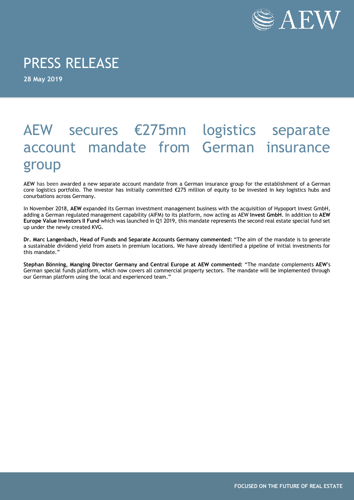

## PRESS RELEASE

**28 May 2019**

## AEW secures €275mn logistics separate account mandate from German insurance group

**AEW** has been awarded a new separate account mandate from a German insurance group for the establishment of a German core logistics portfolio. The investor has initially committed €275 million of equity to be invested in key logistics hubs and conurbations across Germany.

In November 2018, **AEW** expanded its German investment management business with the acquisition of Hypoport Invest GmbH, adding a German regulated management capability (AIFM) to its platform, now acting as AEW **Invest GmbH**. In addition to **AEW Europe Value Investors II Fund** which was launched in Q1 2019, this mandate represents the second real estate special fund set up under the newly created KVG.

**Dr. Marc Langenbach, Head of Funds and Separate Accounts Germany commented:** "The aim of the mandate is to generate a sustainable dividend yield from assets in premium locations. We have already identified a pipeline of initial investments for this mandate."

**Stephan Bönning, Manging Director Germany and Central Europe at AEW commented:** "The mandate complements **AEW'**s German special funds platform, which now covers all commercial property sectors. The mandate will be implemented through our German platform using the local and experienced team."